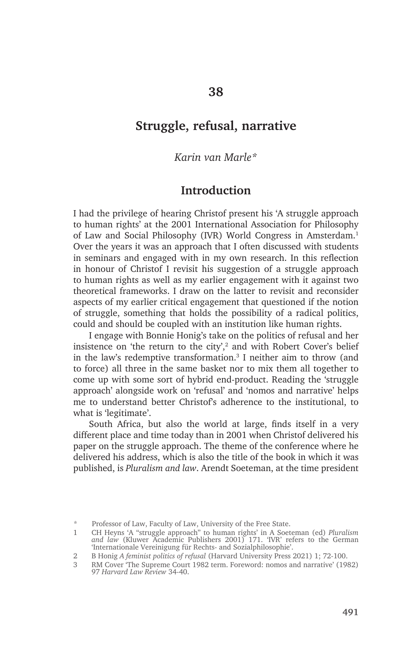# **Struggle, refusal, narrative**

#### *Karin van Marle\**

#### **Introduction**

I had the privilege of hearing Christof present his 'A struggle approach to human rights' at the 2001 International Association for Philosophy of Law and Social Philosophy (IVR) World Congress in Amsterdam.<sup>1</sup> Over the years it was an approach that I often discussed with students in seminars and engaged with in my own research. In this reflection in honour of Christof I revisit his suggestion of a struggle approach to human rights as well as my earlier engagement with it against two theoretical frameworks. I draw on the latter to revisit and reconsider aspects of my earlier critical engagement that questioned if the notion of struggle, something that holds the possibility of a radical politics, could and should be coupled with an institution like human rights.

I engage with Bonnie Honig's take on the politics of refusal and her insistence on 'the return to the city', $2$  and with Robert Cover's belief in the law's redemptive transformation.3 I neither aim to throw (and to force) all three in the same basket nor to mix them all together to come up with some sort of hybrid end-product. Reading the 'struggle approach' alongside work on 'refusal' and 'nomos and narrative' helps me to understand better Christof's adherence to the institutional, to what is 'legitimate'.

South Africa, but also the world at large, finds itself in a very different place and time today than in 2001 when Christof delivered his paper on the struggle approach. The theme of the conference where he delivered his address, which is also the title of the book in which it was published, is *Pluralism and law*. Arendt Soeteman, at the time president

<sup>\*</sup> Professor of Law, Faculty of Law, University of the Free State.

<sup>1</sup> CH Heyns 'A "struggle approach" to human rights' in A Soeteman (ed) *Pluralism and law* (Kluwer Academic Publishers 2001) 171. 'IVR' refers to the German 'Internationale Vereinigung für Rechts- and Sozialphilosophie'.

<sup>2</sup> B Honig *A feminist politics of refusal* (Harvard University Press 2021) 1; 72-100.

<sup>3</sup> RM Cover 'The Supreme Court 1982 term. Foreword: nomos and narrative' (1982) 97 *Harvard Law Review* 34-40.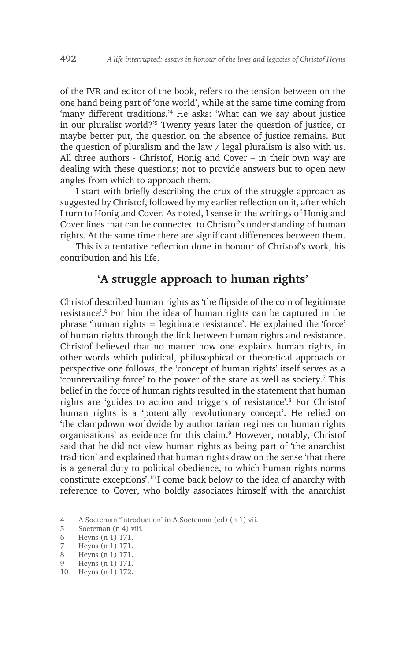of the IVR and editor of the book, refers to the tension between on the one hand being part of 'one world', while at the same time coming from 'many different traditions.'4 He asks: 'What can we say about justice in our pluralist world?'5 Twenty years later the question of justice, or maybe better put, the question on the absence of justice remains. But the question of pluralism and the law / legal pluralism is also with us. All three authors - Christof, Honig and Cover – in their own way are dealing with these questions; not to provide answers but to open new angles from which to approach them.

I start with briefly describing the crux of the struggle approach as suggested by Christof, followed by my earlier reflection on it, after which I turn to Honig and Cover. As noted, I sense in the writings of Honig and Cover lines that can be connected to Christof's understanding of human rights. At the same time there are significant differences between them.

This is a tentative reflection done in honour of Christof's work, his contribution and his life.

## **'A struggle approach to human rights'**

Christof described human rights as 'the flipside of the coin of legitimate resistance'.6 For him the idea of human rights can be captured in the phrase 'human rights = legitimate resistance'. He explained the 'force' of human rights through the link between human rights and resistance. Christof believed that no matter how one explains human rights, in other words which political, philosophical or theoretical approach or perspective one follows, the 'concept of human rights' itself serves as a 'countervailing force' to the power of the state as well as society.7 This belief in the force of human rights resulted in the statement that human rights are 'guides to action and triggers of resistance'.8 For Christof human rights is a 'potentially revolutionary concept'. He relied on 'the clampdown worldwide by authoritarian regimes on human rights organisations' as evidence for this claim.<sup>9</sup> However, notably, Christof said that he did not view human rights as being part of 'the anarchist tradition' and explained that human rights draw on the sense 'that there is a general duty to political obedience, to which human rights norms constitute exceptions'.10 I come back below to the idea of anarchy with reference to Cover, who boldly associates himself with the anarchist

10 Heyns (n 1) 172.

<sup>4</sup> A Soeteman 'Introduction' in A Soeteman (ed) (n 1) vii.

<sup>5</sup> Soeteman (n 4) viii.

<sup>6</sup> Heyns (n 1) 171.

<sup>7</sup> Heyns (n 1) 171.

<sup>8</sup> Heyns (n 1) 171.

<sup>9</sup> Heyns (n 1) 171.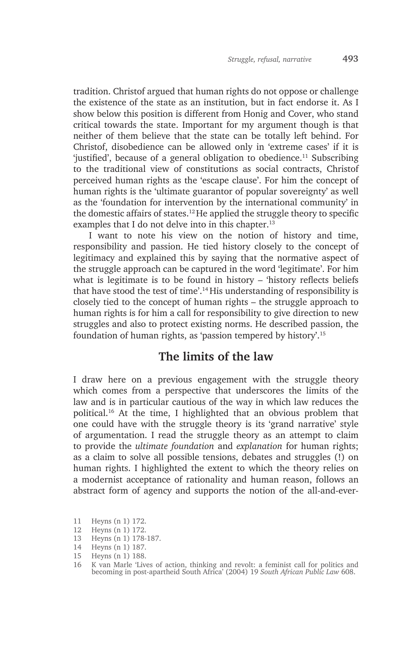tradition. Christof argued that human rights do not oppose or challenge the existence of the state as an institution, but in fact endorse it. As I show below this position is different from Honig and Cover, who stand critical towards the state. Important for my argument though is that neither of them believe that the state can be totally left behind. For Christof, disobedience can be allowed only in 'extreme cases' if it is 'justified', because of a general obligation to obedience.<sup>11</sup> Subscribing to the traditional view of constitutions as social contracts, Christof perceived human rights as the 'escape clause'. For him the concept of human rights is the 'ultimate guarantor of popular sovereignty' as well as the 'foundation for intervention by the international community' in the domestic affairs of states.12 He applied the struggle theory to specific examples that I do not delve into in this chapter.<sup>13</sup>

I want to note his view on the notion of history and time, responsibility and passion. He tied history closely to the concept of legitimacy and explained this by saying that the normative aspect of the struggle approach can be captured in the word 'legitimate'. For him what is legitimate is to be found in history – 'history reflects beliefs that have stood the test of time'.14 His understanding of responsibility is closely tied to the concept of human rights – the struggle approach to human rights is for him a call for responsibility to give direction to new struggles and also to protect existing norms. He described passion, the foundation of human rights, as 'passion tempered by history'.15

## **The limits of the law**

I draw here on a previous engagement with the struggle theory which comes from a perspective that underscores the limits of the law and is in particular cautious of the way in which law reduces the political.16 At the time, I highlighted that an obvious problem that one could have with the struggle theory is its 'grand narrative' style of argumentation. I read the struggle theory as an attempt to claim to provide the *ultimate foundation* and *explanation* for human rights; as a claim to solve all possible tensions, debates and struggles (!) on human rights. I highlighted the extent to which the theory relies on a modernist acceptance of rationality and human reason, follows an abstract form of agency and supports the notion of the all-and-ever-

- 12 Heyns (n 1) 172.
- 13 Heyns (n 1) 178-187.
- 14 Heyns (n 1) 187.
- 15 Heyns (n 1) 188.

<sup>11</sup> Heyns (n 1) 172.

<sup>16</sup> K van Marle 'Lives of action, thinking and revolt: a feminist call for politics and becoming in post-apartheid South Africa' (2004) 19 *South African Public Law* 608.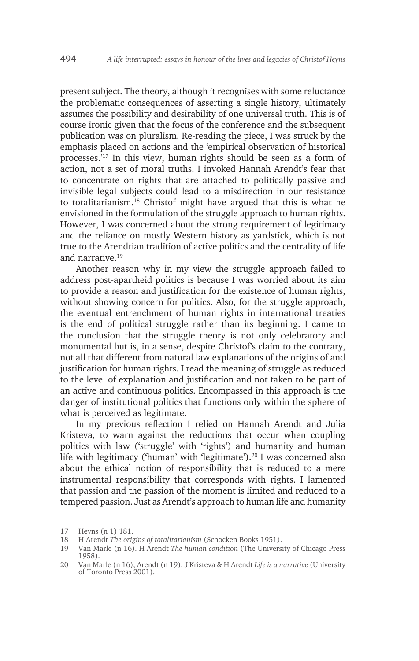present subject. The theory, although it recognises with some reluctance the problematic consequences of asserting a single history, ultimately assumes the possibility and desirability of one universal truth. This is of course ironic given that the focus of the conference and the subsequent publication was on pluralism. Re-reading the piece, I was struck by the emphasis placed on actions and the 'empirical observation of historical processes.'17 In this view, human rights should be seen as a form of action, not a set of moral truths. I invoked Hannah Arendt's fear that to concentrate on rights that are attached to politically passive and invisible legal subjects could lead to a misdirection in our resistance to totalitarianism.18 Christof might have argued that this is what he envisioned in the formulation of the struggle approach to human rights. However, I was concerned about the strong requirement of legitimacy and the reliance on mostly Western history as yardstick, which is not true to the Arendtian tradition of active politics and the centrality of life and narrative.<sup>19</sup>

Another reason why in my view the struggle approach failed to address post-apartheid politics is because I was worried about its aim to provide a reason and justification for the existence of human rights, without showing concern for politics. Also, for the struggle approach, the eventual entrenchment of human rights in international treaties is the end of political struggle rather than its beginning. I came to the conclusion that the struggle theory is not only celebratory and monumental but is, in a sense, despite Christof's claim to the contrary, not all that different from natural law explanations of the origins of and justification for human rights. I read the meaning of struggle as reduced to the level of explanation and justification and not taken to be part of an active and continuous politics. Encompassed in this approach is the danger of institutional politics that functions only within the sphere of what is perceived as legitimate.

In my previous reflection I relied on Hannah Arendt and Julia Kristeva, to warn against the reductions that occur when coupling politics with law ('struggle' with 'rights') and humanity and human life with legitimacy ('human' with 'legitimate').<sup>20</sup> I was concerned also about the ethical notion of responsibility that is reduced to a mere instrumental responsibility that corresponds with rights. I lamented that passion and the passion of the moment is limited and reduced to a tempered passion. Just as Arendt's approach to human life and humanity

<sup>17</sup> Heyns (n 1) 181.

<sup>18</sup> H Arendt *The origins of totalitarianism* (Schocken Books 1951).

<sup>19</sup> Van Marle (n 16). H Arendt *The human condition* (The University of Chicago Press 1958).

<sup>20</sup> Van Marle (n 16), Arendt (n 19), J Kristeva & H Arendt *Life is a narrative* (University of Toronto Press 2001).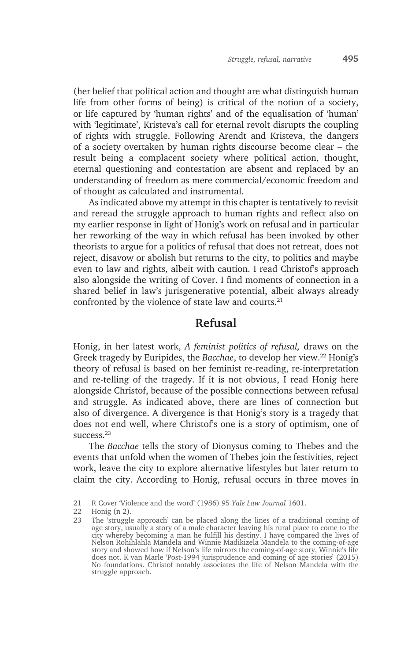(her belief that political action and thought are what distinguish human life from other forms of being) is critical of the notion of a society, or life captured by 'human rights' and of the equalisation of 'human' with 'legitimate', Kristeva's call for eternal revolt disrupts the coupling of rights with struggle. Following Arendt and Kristeva, the dangers of a society overtaken by human rights discourse become clear – the result being a complacent society where political action, thought, eternal questioning and contestation are absent and replaced by an understanding of freedom as mere commercial/economic freedom and of thought as calculated and instrumental.

As indicated above my attempt in this chapter is tentatively to revisit and reread the struggle approach to human rights and reflect also on my earlier response in light of Honig's work on refusal and in particular her reworking of the way in which refusal has been invoked by other theorists to argue for a politics of refusal that does not retreat, does not reject, disavow or abolish but returns to the city, to politics and maybe even to law and rights, albeit with caution. I read Christof's approach also alongside the writing of Cover. I find moments of connection in a shared belief in law's jurisgenerative potential, albeit always already confronted by the violence of state law and courts.<sup>21</sup>

### **Refusal**

Honig, in her latest work, *A feminist politics of refusal,* draws on the Greek tragedy by Euripides, the *Bacchae*, to develop her view.<sup>22</sup> Honig's theory of refusal is based on her feminist re-reading, re-interpretation and re-telling of the tragedy. If it is not obvious, I read Honig here alongside Christof, because of the possible connections between refusal and struggle. As indicated above, there are lines of connection but also of divergence. A divergence is that Honig's story is a tragedy that does not end well, where Christof's one is a story of optimism, one of  $s$ 11 $c$ cess.<sup>23</sup>

The *Bacchae* tells the story of Dionysus coming to Thebes and the events that unfold when the women of Thebes join the festivities, reject work, leave the city to explore alternative lifestyles but later return to claim the city. According to Honig, refusal occurs in three moves in

23 The 'struggle approach' can be placed along the lines of a traditional coming of age story, usually a story of a male character leaving his rural place to come to the city whereby becoming a man he fulfill his destiny. I have compared the lives of Nelson Rohihlahla Mandela and Winnie Madikizela Mandela to the coming-of-age story and showed how if Nelson's life mirrors the coming-of-age story, Winnie's life does not. K van Marle 'Post-1994 jurisprudence and coming of age stories' (2015) No foundations. Christof notably associates the life of Nelson Mandela with the struggle approach.

<sup>21</sup> R Cover 'Violence and the word' (1986) 95 *Yale Law Journal* 1601.

<sup>22</sup> Honig (n 2).<br>23 The 'struggle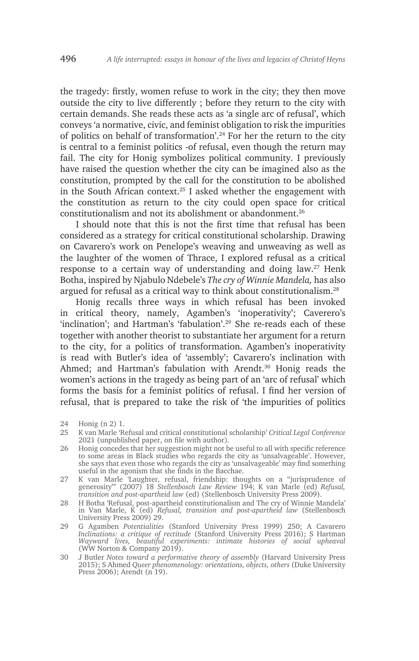the tragedy: firstly, women refuse to work in the city; they then move outside the city to live differently ; before they return to the city with certain demands. She reads these acts as 'a single arc of refusal', which conveys 'a normative, civic, and feminist obligation to risk the impurities of politics on behalf of transformation'.24 For her the return to the city is central to a feminist politics -of refusal, even though the return may fail. The city for Honig symbolizes political community. I previously have raised the question whether the city can be imagined also as the constitution, prompted by the call for the constitution to be abolished in the South African context.25 I asked whether the engagement with the constitution as return to the city could open space for critical constitutionalism and not its abolishment or abandonment.26

I should note that this is not the first time that refusal has been considered as a strategy for critical constitutional scholarship. Drawing on Cavarero's work on Penelope's weaving and unweaving as well as the laughter of the women of Thrace, I explored refusal as a critical response to a certain way of understanding and doing law.<sup>27</sup> Henk Botha, inspired by Njabulo Ndebele's *The cry of Winnie Mandela,* has also argued for refusal as a critical way to think about constitutionalism.28

Honig recalls three ways in which refusal has been invoked in critical theory, namely, Agamben's 'inoperativity'; Caverero's 'inclination'; and Hartman's 'fabulation'.29 She re-reads each of these together with another theorist to substantiate her argument for a return to the city, for a politics of transformation. Agamben's inoperativity is read with Butler's idea of 'assembly'; Cavarero's inclination with Ahmed; and Hartman's fabulation with Arendt.<sup>30</sup> Honig reads the women's actions in the tragedy as being part of an 'arc of refusal' which forms the basis for a feminist politics of refusal. I find her version of refusal, that is prepared to take the risk of 'the impurities of politics

<sup>24</sup> Honig (n 2) 1.

<sup>25</sup> K van Marle 'Refusal and critical constitutional scholarship' *Critical Legal Conference*  2021 (unpublished paper, on file with author).

<sup>26</sup> Honig concedes that her suggestion might not be useful to all with specific reference to some areas in Black studies who regards the city as 'unsalvageable'. However, she says that even those who regards the city as 'unsalvageable' may find something useful in the agonism that she finds in the Bacchae.

<sup>27</sup> K van Marle 'Laughter, refusal, friendship: thoughts on a "jurisprudence of generosity"' (2007) 18 *Stellenbosch Law Review* 194; K van Marle (ed) *Refusal, transition and post-apartheid law* (ed) (Stellenbosch University Press 2009).

<sup>28</sup> H Botha 'Refusal, post-apartheid constitutionalism and The cry of Winnie Mandela' in Van Marle, K (ed) *Refusal, transition and post-apartheid law* (Stellenbosch University Press 2009) 29.

<sup>29</sup> G Agamben *Potentialities* (Stanford University Press 1999) 250; A Cavarero *Inclinations: a critique of rectitude* (Stanford University Press 2016); S Hartman *Wayward lives, beautiful experiments: intimate histories of social upheaval*  (WW Norton & Company 2019).

<sup>30</sup> J Butler *Notes toward a performative theory of assembly* (Harvard University Press 2015); S Ahmed *Queer phenomenology: orientations, objects, others* (Duke University Press 2006); Arendt (n 19).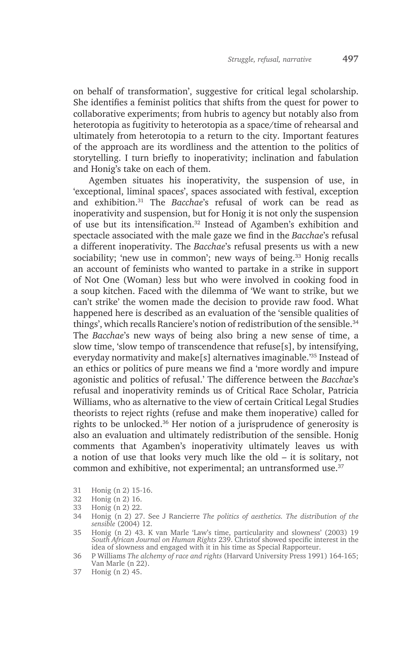on behalf of transformation', suggestive for critical legal scholarship. She identifies a feminist politics that shifts from the quest for power to collaborative experiments; from hubris to agency but notably also from heterotopia as fugitivity to heterotopia as a space/time of rehearsal and ultimately from heterotopia to a return to the city. Important features of the approach are its wordliness and the attention to the politics of storytelling. I turn briefly to inoperativity; inclination and fabulation and Honig's take on each of them.

Agemben situates his inoperativity, the suspension of use, in 'exceptional, liminal spaces', spaces associated with festival, exception and exhibition.31 The *Bacchae*'s refusal of work can be read as inoperativity and suspension, but for Honig it is not only the suspension of use but its intensification.32 Instead of Agamben's exhibition and spectacle associated with the male gaze we find in the *Bacchae*'s refusal a different inoperativity. The *Bacchae*'s refusal presents us with a new sociability; 'new use in common'; new ways of being.<sup>33</sup> Honig recalls an account of feminists who wanted to partake in a strike in support of Not One (Woman) less but who were involved in cooking food in a soup kitchen. Faced with the dilemma of 'We want to strike, but we can't strike' the women made the decision to provide raw food. What happened here is described as an evaluation of the 'sensible qualities of things', which recalls Ranciere's notion of redistribution of the sensible.<sup>34</sup> The *Bacchae*'s new ways of being also bring a new sense of time, a slow time, 'slow tempo of transcendence that refuse[s], by intensifying, everyday normativity and make[s] alternatives imaginable.'35 Instead of an ethics or politics of pure means we find a 'more wordly and impure agonistic and politics of refusal.' The difference between the *Bacchae*'s refusal and inoperativity reminds us of Critical Race Scholar, Patricia Williams, who as alternative to the view of certain Critical Legal Studies theorists to reject rights (refuse and make them inoperative) called for rights to be unlocked.36 Her notion of a jurisprudence of generosity is also an evaluation and ultimately redistribution of the sensible. Honig comments that Agamben's inoperativity ultimately leaves us with a notion of use that looks very much like the old – it is solitary, not common and exhibitive, not experimental; an untransformed use.<sup>37</sup>

- 31 Honig (n 2) 15-16.
- 32 Honig (n 2) 16.
- 33 Honig (n 2) 22.
- 34 Honig (n 2) 27. See J Rancierre *The politics of aesthetics. The distribution of the sensible* (2004) 12.
- 35 Honig (n 2) 43. K van Marle 'Law's time, particularity and slowness' (2003) 19 *South African Journal on Human Rights* 239. Christof showed specific interest in the idea of slowness and engaged with it in his time as Special Rapporteur.
- 36 P Williams *The alchemy of race and rights* (Harvard University Press 1991) 164-165; Van Marle (n 22).
- 37 Honig (n 2) 45.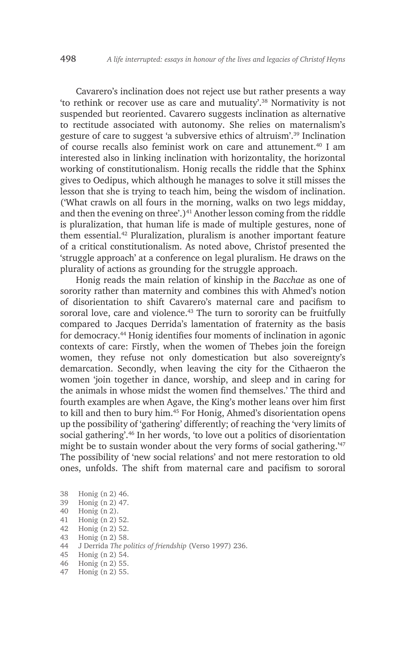Cavarero's inclination does not reject use but rather presents a way 'to rethink or recover use as care and mutuality'.38 Normativity is not suspended but reoriented. Cavarero suggests inclination as alternative to rectitude associated with autonomy. She relies on maternalism's gesture of care to suggest 'a subversive ethics of altruism'.39 Inclination of course recalls also feminist work on care and attunement.40 I am interested also in linking inclination with horizontality, the horizontal working of constitutionalism. Honig recalls the riddle that the Sphinx gives to Oedipus, which although he manages to solve it still misses the lesson that she is trying to teach him, being the wisdom of inclination. ('What crawls on all fours in the morning, walks on two legs midday, and then the evening on three'.)<sup>41</sup> Another lesson coming from the riddle is pluralization, that human life is made of multiple gestures, none of them essential.42 Pluralization, pluralism is another important feature of a critical constitutionalism. As noted above, Christof presented the 'struggle approach' at a conference on legal pluralism. He draws on the plurality of actions as grounding for the struggle approach.

Honig reads the main relation of kinship in the *Bacchae* as one of sorority rather than maternity and combines this with Ahmed's notion of disorientation to shift Cavarero's maternal care and pacifism to sororal love, care and violence.<sup>43</sup> The turn to sorority can be fruitfully compared to Jacques Derrida's lamentation of fraternity as the basis for democracy.44 Honig identifies four moments of inclination in agonic contexts of care: Firstly, when the women of Thebes join the foreign women, they refuse not only domestication but also sovereignty's demarcation. Secondly, when leaving the city for the Cithaeron the women 'join together in dance, worship, and sleep and in caring for the animals in whose midst the women find themselves.' The third and fourth examples are when Agave, the King's mother leans over him first to kill and then to bury him.<sup>45</sup> For Honig, Ahmed's disorientation opens up the possibility of 'gathering' differently; of reaching the 'very limits of social gathering'.<sup>46</sup> In her words, 'to love out a politics of disorientation might be to sustain wonder about the very forms of social gathering.<sup>47</sup> The possibility of 'new social relations' and not mere restoration to old ones, unfolds. The shift from maternal care and pacifism to sororal

- 38 Honig (n 2) 46.
- 39 Honig (n 2) 47.  $40$  Honig (n 2).
- 
- 41 Honig (n 2) 52. 42 Honig (n 2) 52.
- 
- 43 Honig (n 2) 58.<br>44 J Derrida The no
- 44 J Derrida *The politics of friendship* (Verso 1997) 236.
- 45 Honig (n 2) 54.
- 46 Honig (n 2) 55.
- 47 Honig (n 2) 55.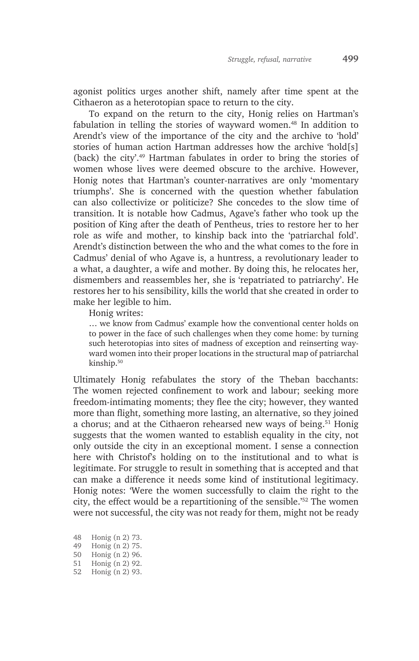agonist politics urges another shift, namely after time spent at the Cithaeron as a heterotopian space to return to the city.

To expand on the return to the city, Honig relies on Hartman's fabulation in telling the stories of wayward women.48 In addition to Arendt's view of the importance of the city and the archive to 'hold' stories of human action Hartman addresses how the archive 'hold[s] (back) the city'.49 Hartman fabulates in order to bring the stories of women whose lives were deemed obscure to the archive. However, Honig notes that Hartman's counter-narratives are only 'momentary triumphs'. She is concerned with the question whether fabulation can also collectivize or politicize? She concedes to the slow time of transition. It is notable how Cadmus, Agave's father who took up the position of King after the death of Pentheus, tries to restore her to her role as wife and mother, to kinship back into the 'patriarchal fold'. Arendt's distinction between the who and the what comes to the fore in Cadmus' denial of who Agave is, a huntress, a revolutionary leader to a what, a daughter, a wife and mother. By doing this, he relocates her, dismembers and reassembles her, she is 'repatriated to patriarchy'. He restores her to his sensibility, kills the world that she created in order to make her legible to him.

Honig writes:

… we know from Cadmus' example how the conventional center holds on to power in the face of such challenges when they come home: by turning such heterotopias into sites of madness of exception and reinserting wayward women into their proper locations in the structural map of patriarchal kinship.50

Ultimately Honig refabulates the story of the Theban bacchants: The women rejected confinement to work and labour; seeking more freedom-intimating moments; they flee the city; however, they wanted more than flight, something more lasting, an alternative, so they joined a chorus; and at the Cithaeron rehearsed new ways of being.<sup>51</sup> Honig suggests that the women wanted to establish equality in the city, not only outside the city in an exceptional moment. I sense a connection here with Christof's holding on to the institutional and to what is legitimate. For struggle to result in something that is accepted and that can make a difference it needs some kind of institutional legitimacy. Honig notes: 'Were the women successfully to claim the right to the city, the effect would be a repartitioning of the sensible.'52 The women were not successful, the city was not ready for them, might not be ready

- 48 Honig (n 2) 73.
- 49 Honig (n 2) 75.
- 50 Honig (n 2) 96.
- 51 Honig (n 2) 92.
- 52 Honig (n 2) 93.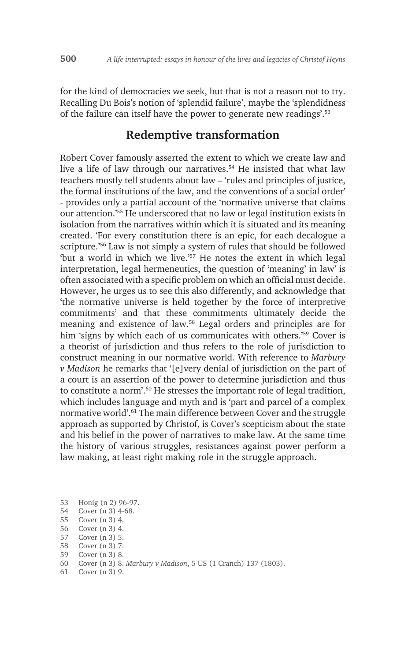for the kind of democracies we seek, but that is not a reason not to try. Recalling Du Bois's notion of 'splendid failure', maybe the 'splendidness of the failure can itself have the power to generate new readings'.53

#### **Redemptive transformation**

Robert Cover famously asserted the extent to which we create law and live a life of law through our narratives.54 He insisted that what law teachers mostly tell students about law – 'rules and principles of justice, the formal institutions of the law, and the conventions of a social order' - provides only a partial account of the 'normative universe that claims our attention.'55 He underscored that no law or legal institution exists in isolation from the narratives within which it is situated and its meaning created. 'For every constitution there is an epic, for each decalogue a scripture.<sup>'56</sup> Law is not simply a system of rules that should be followed 'but a world in which we live.'57 He notes the extent in which legal interpretation, legal hermeneutics, the question of 'meaning' in law' is often associated with a specific problem on which an official must decide. However, he urges us to see this also differently, and acknowledge that 'the normative universe is held together by the force of interpretive commitments' and that these commitments ultimately decide the meaning and existence of law.58 Legal orders and principles are for him 'signs by which each of us communicates with others.'<sup>59</sup> Cover is a theorist of jurisdiction and thus refers to the role of jurisdiction to construct meaning in our normative world. With reference to *Marbury v Madison* he remarks that '[e]very denial of jurisdiction on the part of a court is an assertion of the power to determine jurisdiction and thus to constitute a norm'.<sup>60</sup> He stresses the important role of legal tradition, which includes language and myth and is 'part and parcel of a complex normative world'.61 The main difference between Cover and the struggle approach as supported by Christof, is Cover's scepticism about the state and his belief in the power of narratives to make law. At the same time the history of various struggles, resistances against power perform a law making, at least right making role in the struggle approach.

- 53 Honig (n 2) 96-97.
- 54 Cover (n 3) 4-68.
- 55 Cover (n 3) 4.
- 56 Cover (n 3) 4.
- 57 Cover (n 3) 5.
- 58 Cover (n 3) 7.
- 59 Cover (n 3) 8.
- 60 Cover (n 3) 8. *Marbury v Madison*, 5 US (1 Cranch) 137 (1803).
- 61 Cover (n 3) 9.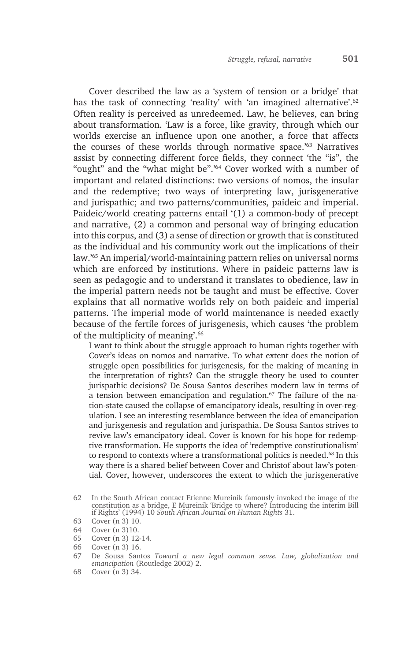Cover described the law as a 'system of tension or a bridge' that has the task of connecting 'reality' with 'an imagined alternative'.<sup>62</sup> Often reality is perceived as unredeemed. Law, he believes, can bring about transformation. 'Law is a force, like gravity, through which our worlds exercise an influence upon one another, a force that affects the courses of these worlds through normative space.'63 Narratives assist by connecting different force fields, they connect 'the "is", the "ought" and the "what might be".'64 Cover worked with a number of important and related distinctions: two versions of nomos, the insular and the redemptive; two ways of interpreting law, jurisgenerative and jurispathic; and two patterns/communities, paideic and imperial. Paideic/world creating patterns entail '(1) a common-body of precept and narrative, (2) a common and personal way of bringing education into this corpus, and (3) a sense of direction or growth that is constituted as the individual and his community work out the implications of their law.'65 An imperial/world-maintaining pattern relies on universal norms which are enforced by institutions. Where in paideic patterns law is seen as pedagogic and to understand it translates to obedience, law in the imperial pattern needs not be taught and must be effective. Cover explains that all normative worlds rely on both paideic and imperial patterns. The imperial mode of world maintenance is needed exactly because of the fertile forces of jurisgenesis, which causes 'the problem of the multiplicity of meaning'.<sup>66</sup>

I want to think about the struggle approach to human rights together with Cover's ideas on nomos and narrative. To what extent does the notion of struggle open possibilities for jurisgenesis, for the making of meaning in the interpretation of rights? Can the struggle theory be used to counter jurispathic decisions? De Sousa Santos describes modern law in terms of a tension between emancipation and regulation.<sup>67</sup> The failure of the nation-state caused the collapse of emancipatory ideals, resulting in over-regulation. I see an interesting resemblance between the idea of emancipation and jurisgenesis and regulation and jurispathia. De Sousa Santos strives to revive law's emancipatory ideal. Cover is known for his hope for redemptive transformation. He supports the idea of 'redemptive constitutionalism' to respond to contexts where a transformational politics is needed.<sup>68</sup> In this way there is a shared belief between Cover and Christof about law's potential. Cover, however, underscores the extent to which the jurisgenerative

65 Cover (n 3) 12-14.

68 Cover (n 3) 34.

<sup>62</sup> In the South African contact Etienne Mureinik famously invoked the image of the constitution as a bridge, E Mureinik 'Bridge to where? Introducing the interim Bill if Rights' (1994) 10 *South African Journal on Human Rights* 31.

<sup>63</sup> Cover (n 3) 10.

<sup>64</sup> Cover (n 3)10.

<sup>66</sup> Cover (n 3) 16.

<sup>67</sup> De Sousa Santos *Toward a new legal common sense. Law, globalization and emancipation* (Routledge 2002) 2.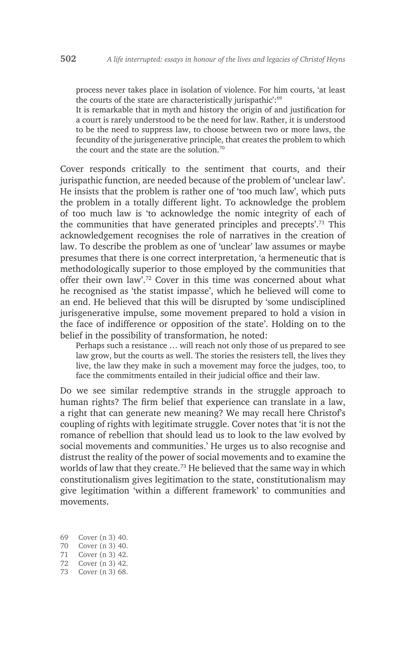process never takes place in isolation of violence. For him courts, 'at least the courts of the state are characteristically jurispathic':<sup>69</sup>

It is remarkable that in myth and history the origin of and justification for a court is rarely understood to be the need for law. Rather, it is understood to be the need to suppress law, to choose between two or more laws, the fecundity of the jurisgenerative principle, that creates the problem to which the court and the state are the solution.<sup>70</sup>

Cover responds critically to the sentiment that courts, and their jurispathic function, are needed because of the problem of 'unclear law'. He insists that the problem is rather one of 'too much law', which puts the problem in a totally different light. To acknowledge the problem of too much law is 'to acknowledge the nomic integrity of each of the communities that have generated principles and precepts'.71 This acknowledgement recognises the role of narratives in the creation of law. To describe the problem as one of 'unclear' law assumes or maybe presumes that there is one correct interpretation, 'a hermeneutic that is methodologically superior to those employed by the communities that offer their own law'.72 Cover in this time was concerned about what he recognised as 'the statist impasse', which he believed will come to an end. He believed that this will be disrupted by 'some undisciplined jurisgenerative impulse, some movement prepared to hold a vision in the face of indifference or opposition of the state'. Holding on to the belief in the possibility of transformation, he noted:

Perhaps such a resistance … will reach not only those of us prepared to see law grow, but the courts as well. The stories the resisters tell, the lives they live, the law they make in such a movement may force the judges, too, to face the commitments entailed in their judicial office and their law.

Do we see similar redemptive strands in the struggle approach to human rights? The firm belief that experience can translate in a law, a right that can generate new meaning? We may recall here Christof's coupling of rights with legitimate struggle. Cover notes that 'it is not the romance of rebellion that should lead us to look to the law evolved by social movements and communities.' He urges us to also recognise and distrust the reality of the power of social movements and to examine the worlds of law that they create.<sup>73</sup> He believed that the same way in which constitutionalism gives legitimation to the state, constitutionalism may give legitimation 'within a different framework' to communities and movements.

- 69 Cover (n 3) 40.
- 70 Cover (n 3) 40.
- 71 Cover (n 3) 42.
- 72 Cover (n 3) 42.
- 73 Cover (n 3) 68.